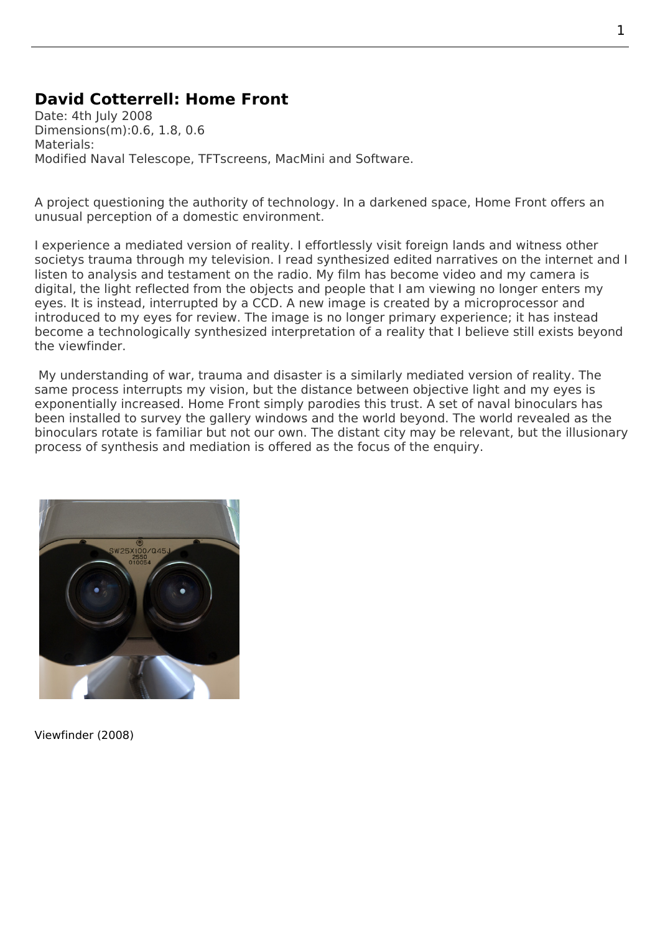## **David Cotterrell: Home Front**

Date: 4th July 2008 Dimensions(m):0.6, 1.8, 0.6 Materials: Modified Naval Telescope, TFTscreens, MacMini and Software.

A project questioning the authority of technology. In a darkened space, Home Front offers an unusual perception of a domestic environment.

I experience a mediated version of reality. I effortlessly visit foreign lands and witness other societys trauma through my television. I read synthesized edited narratives on the internet and I listen to analysis and testament on the radio. My film has become video and my camera is digital, the light reflected from the objects and people that I am viewing no longer enters my eyes. It is instead, interrupted by a CCD. A new image is created by a microprocessor and introduced to my eyes for review. The image is no longer primary experience; it has instead become a technologically synthesized interpretation of a reality that I believe still exists beyond the viewfinder.

 My understanding of war, trauma and disaster is a similarly mediated version of reality. The same process interrupts my vision, but the distance between objective light and my eyes is exponentially increased. Home Front simply parodies this trust. A set of naval binoculars has been installed to survey the gallery windows and the world beyond. The world revealed as the binoculars rotate is familiar but not our own. The distant city may be relevant, but the illusionary process of synthesis and mediation is offered as the focus of the enquiry.



Viewfinder (2008)